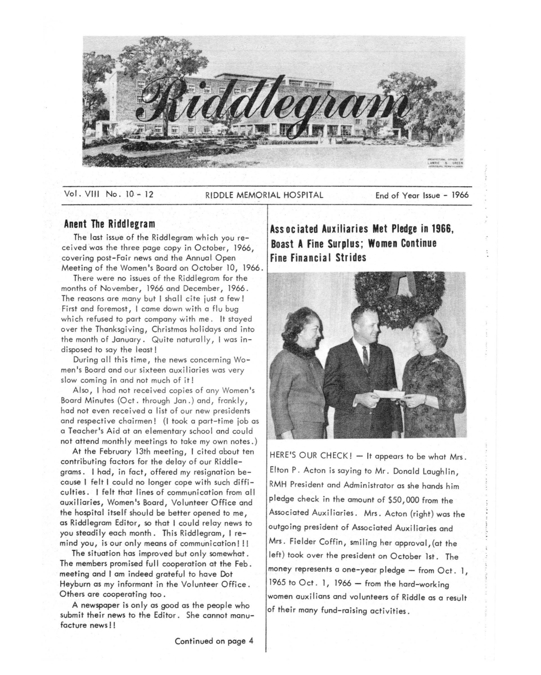

Vol. VIII No. 10 - 12 RIDDLE MEMORIAL HOSPITAL End of Year Issue - 1966

## **Anent The Riddlegram**

The last issue of the Riddlegrom which you received was the three page copy in October, 1966, covering post-Fair news and the Annual Open Meeting of the Women's Boord on October 10, 1966.

There were no issues of the Riddlegram for the months of November, 1966 and December, 1966. The reasons are many but I shall cite just a few! First and foremost, I came down with a flu bug which refused to part company with me. It stayed over the Thanksgiving, Christmas holidays and into the month of January. Quite naturally, I was indisposed to say the least!

During all this time, the news concerning Women's Board and our sixteen auxiliaries was very slow coming in and not much of it!

Also, I had not received copies of any Women's Board Minutes (Oct. through Jan.) and, frankly, had not even received a list of our new presidents and respective chairmen! (I took a part-time job as o Teacher's Aid at on elementary school and could not attend monthly meetings to take my own notes.)

At the February 13th meeting, I cited about ten contributing factors for the delay of our Riddlegrams. I had, in fact, offered my resignation because I felt I could no longer cope with such difficulties. I felt that lines of communication from all auxiliaries, Women's Boord, Volunteer Office and the hospital itself should be better opened to me, as Riddlegrom Editor, so that I could relay news to you steadily each month. This Riddlegram, I remind you, is our only means of communication!!!

The situation has improved but only somewhat. The members promised full cooperation at the Feb. meeting and I om indeed grateful to have Dot Heyburn as my informant in the Volunteer Office. Others are cooperating too.

A newspaper is only as good as the people who submit their news to the Editor. She cannot manufacture news ! !

**Associated Auxiliaries Met Pledge in 1966, Boast A Fine Surplus; Women Continue Fine Financial Strides** 



HERE'S OUR CHECK! - It appears to be what Mrs. Elton P. Acton is saying to Mr. Donald Laughlin, RMH President and Administrator as she hands him pledge check in the amount of \$50,000 from the Associated Auxiliaries. Mrs. Acton (right) was the outgoing president of Associated Auxiliaries and Mrs. Fielder Coffin, smiling her approval,(ot the left) took over the president on October 1st. The money represents a one-year pledge  $-$  from Oct. 1, 1965 to  $Oct. 1, 1966 - from the hard-world$ women auxilions and volunteers of Riddle as a result of their many fund-raising activities.